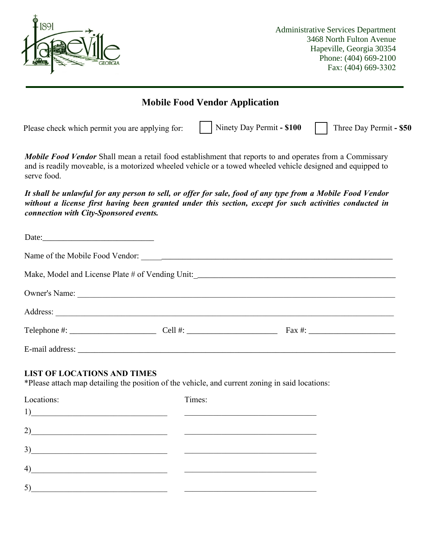

Administrative Services Department 3468 North Fulton Avenue Hapeville, Georgia 30354 Phone: (404) 669-2100 Fax: (404) 669-3302

| <b>Mobile Food Vendor Application</b>                                                                                                                                                                                                                                                                                                                                        |  |        |                           |                         |  |  |
|------------------------------------------------------------------------------------------------------------------------------------------------------------------------------------------------------------------------------------------------------------------------------------------------------------------------------------------------------------------------------|--|--------|---------------------------|-------------------------|--|--|
| Please check which permit you are applying for:                                                                                                                                                                                                                                                                                                                              |  |        | Ninety Day Permit - \$100 | Three Day Permit - \$50 |  |  |
| Mobile Food Vendor Shall mean a retail food establishment that reports to and operates from a Commissary<br>and is readily moveable, is a motorized wheeled vehicle or a towed wheeled vehicle designed and equipped to<br>serve food.                                                                                                                                       |  |        |                           |                         |  |  |
| It shall be unlawful for any person to sell, or offer for sale, food of any type from a Mobile Food Vendor<br>without a license first having been granted under this section, except for such activities conducted in<br>connection with City-Sponsored events.                                                                                                              |  |        |                           |                         |  |  |
| Date:                                                                                                                                                                                                                                                                                                                                                                        |  |        |                           |                         |  |  |
|                                                                                                                                                                                                                                                                                                                                                                              |  |        |                           |                         |  |  |
|                                                                                                                                                                                                                                                                                                                                                                              |  |        |                           |                         |  |  |
|                                                                                                                                                                                                                                                                                                                                                                              |  |        |                           |                         |  |  |
|                                                                                                                                                                                                                                                                                                                                                                              |  |        |                           |                         |  |  |
|                                                                                                                                                                                                                                                                                                                                                                              |  |        |                           |                         |  |  |
|                                                                                                                                                                                                                                                                                                                                                                              |  |        |                           |                         |  |  |
| <b>LIST OF LOCATIONS AND TIMES</b><br>*Please attach map detailing the position of the vehicle, and current zoning in said locations:                                                                                                                                                                                                                                        |  |        |                           |                         |  |  |
| Locations:                                                                                                                                                                                                                                                                                                                                                                   |  | Times: |                           |                         |  |  |
| $\overline{1}$ ) $\overline{1}$                                                                                                                                                                                                                                                                                                                                              |  |        |                           |                         |  |  |
| 2)<br><u> 1989 - Johann Barbara, martxa amerikan personal (</u>                                                                                                                                                                                                                                                                                                              |  |        |                           |                         |  |  |
| 3)                                                                                                                                                                                                                                                                                                                                                                           |  |        |                           |                         |  |  |
| $\left(4\right)$                                                                                                                                                                                                                                                                                                                                                             |  |        |                           |                         |  |  |
| $5)$ and $\overline{\phantom{a}1}$ and $\overline{\phantom{a}1}$ and $\overline{\phantom{a}1}$ and $\overline{\phantom{a}1}$ and $\overline{\phantom{a}1}$ and $\overline{\phantom{a}1}$ and $\overline{\phantom{a}1}$ and $\overline{\phantom{a}1}$ and $\overline{\phantom{a}1}$ and $\overline{\phantom{a}1}$ and $\overline{\phantom{a}1}$ and $\overline{\phantom{a}1}$ |  |        |                           |                         |  |  |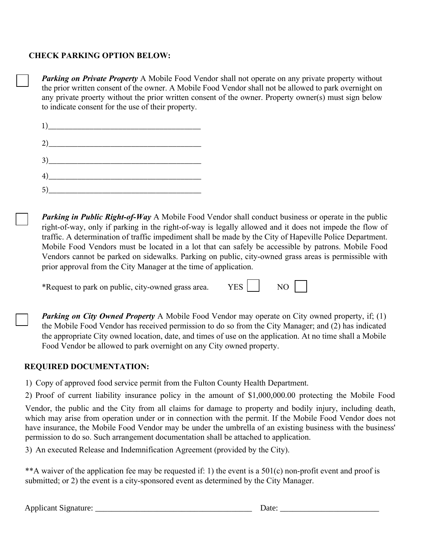## **CHECK PARKING OPTION BELOW:**

*Parking on Private Property* A Mobile Food Vendor shall not operate on any private property without the prior written consent of the owner. A Mobile Food Vendor shall not be allowed to park overnight on any private proerty without the prior written consent of the owner. Property owner(s) must sign below to indicate consent for the use of their property.

| 1)                                                                                                                                                                                                                                                                                                                                            |  |  |
|-----------------------------------------------------------------------------------------------------------------------------------------------------------------------------------------------------------------------------------------------------------------------------------------------------------------------------------------------|--|--|
| 2)                                                                                                                                                                                                                                                                                                                                            |  |  |
| $\begin{array}{c} 3) \end{array}$                                                                                                                                                                                                                                                                                                             |  |  |
| $\left(4\right)$ and $\left(4\right)$ and $\left(4\right)$ and $\left(4\right)$ and $\left(4\right)$ and $\left(4\right)$ and $\left(4\right)$ and $\left(4\right)$ and $\left(4\right)$ and $\left(4\right)$ and $\left(4\right)$ and $\left(4\right)$ and $\left(4\right)$ and $\left(4\right)$ and $\left(4\right)$ and $\left(4\right)$ a |  |  |
|                                                                                                                                                                                                                                                                                                                                               |  |  |

*Parking in Public Right-of-Way* A Mobile Food Vendor shall conduct business or operate in the public right-of-way, only if parking in the right-of-way is legally allowed and it does not impede the flow of traffic. A determination of traffic impediment shall be made by the City of Hapeville Police Department. Mobile Food Vendors must be located in a lot that can safely be accessible by patrons. Mobile Food Vendors cannot be parked on sidewalks. Parking on public, city-owned grass areas is permissible with prior approval from the City Manager at the time of application.

\*Request to park on public, city-owned grass area. YES NO

**Parking on City Owned Property** A Mobile Food Vendor may operate on City owned property, if; (1) the Mobile Food Vendor has received permission to do so from the City Manager; and (2) has indicated the appropriate City owned location, date, and times of use on the application. At no time shall a Mobile Food Vendor be allowed to park overnight on any City owned property.

## **REQUIRED DOCUMENTATION:**

1) Copy of approved food service permit from the Fulton County Health Department.

2) Proof of current liability insurance policy in the amount of \$1,000,000.00 protecting the Mobile Food

Vendor, the public and the City from all claims for damage to property and bodily injury, including death, which may arise from operation under or in connection with the permit. If the Mobile Food Vendor does not have insurance, the Mobile Food Vendor may be under the umbrella of an existing business with the business' permission to do so. Such arrangement documentation shall be attached to application.

3) An executed Release and Indemnification Agreement (provided by the City).

\*\*A waiver of the application fee may be requested if: 1) the event is a 501(c) non-profit event and proof is submitted; or 2) the event is a city-sponsored event as determined by the City Manager.

Applicant Signature: \_\_\_\_\_\_\_\_\_\_\_\_\_\_\_\_\_\_\_\_\_\_\_\_\_\_\_\_\_\_\_\_\_\_\_\_\_\_ Date: \_\_\_\_\_\_\_\_\_\_\_\_\_\_\_\_\_\_\_\_\_\_\_\_